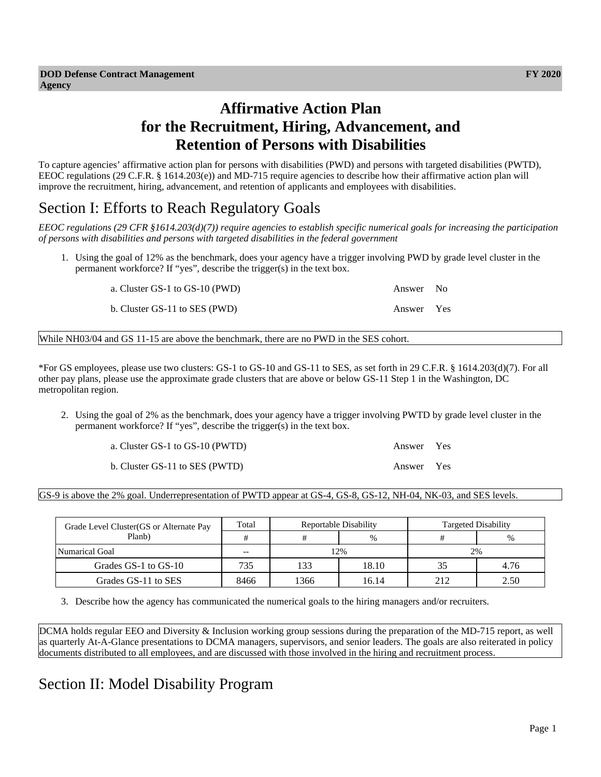# **Affirmative Action Plan for the Recruitment, Hiring, Advancement, and Retention of Persons with Disabilities**

To capture agencies' affirmative action plan for persons with disabilities (PWD) and persons with targeted disabilities (PWTD), EEOC regulations (29 C.F.R. § 1614.203(e)) and MD-715 require agencies to describe how their affirmative action plan will improve the recruitment, hiring, advancement, and retention of applicants and employees with disabilities.

## Section I: Efforts to Reach Regulatory Goals

*EEOC regulations (29 CFR §1614.203(d)(7)) require agencies to establish specific numerical goals for increasing the participation of persons with disabilities and persons with targeted disabilities in the federal government*

1. Using the goal of 12% as the benchmark, does your agency have a trigger involving PWD by grade level cluster in the permanent workforce? If "yes", describe the trigger(s) in the text box.

a. Cluster GS-1 to GS-10 (PWD) Answer No

b. Cluster GS-11 to SES (PWD) Answer Yes

While NH03/04 and GS 11-15 are above the benchmark, there are no PWD in the SES cohort.

\*For GS employees, please use two clusters: GS-1 to GS-10 and GS-11 to SES, as set forth in 29 C.F.R. § 1614.203(d)(7). For all other pay plans, please use the approximate grade clusters that are above or below GS-11 Step 1 in the Washington, DC metropolitan region.

2. Using the goal of 2% as the benchmark, does your agency have a trigger involving PWTD by grade level cluster in the permanent workforce? If "yes", describe the trigger(s) in the text box.

| a. Cluster GS-1 to GS-10 (PWTD) | Answer Yes |  |
|---------------------------------|------------|--|
| b. Cluster GS-11 to SES (PWTD)  | Answer Yes |  |

GS-9 is above the 2% goal. Underrepresentation of PWTD appear at GS-4, GS-8, GS-12, NH-04, NK-03, and SES levels.

| Grade Level Cluster (GS or Alternate Pay | Total |      | Reportable Disability | Targeted Disability |      |  |
|------------------------------------------|-------|------|-----------------------|---------------------|------|--|
| Planb)                                   |       | #    | $\frac{0}{0}$         |                     | $\%$ |  |
| Numarical Goal                           | $- -$ | 12%  |                       | 2%                  |      |  |
| Grades GS-1 to GS-10                     | 735   | 133  | 18.10                 |                     | 4.76 |  |
| Grades GS-11 to SES                      | 8466  | 1366 | 16.14                 | 212                 | 2.50 |  |

3. Describe how the agency has communicated the numerical goals to the hiring managers and/or recruiters.

DCMA holds regular EEO and Diversity & Inclusion working group sessions during the preparation of the MD-715 report, as well as quarterly At-A-Glance presentations to DCMA managers, supervisors, and senior leaders. The goals are also reiterated in policy documents distributed to all employees, and are discussed with those involved in the hiring and recruitment process.

# Section II: Model Disability Program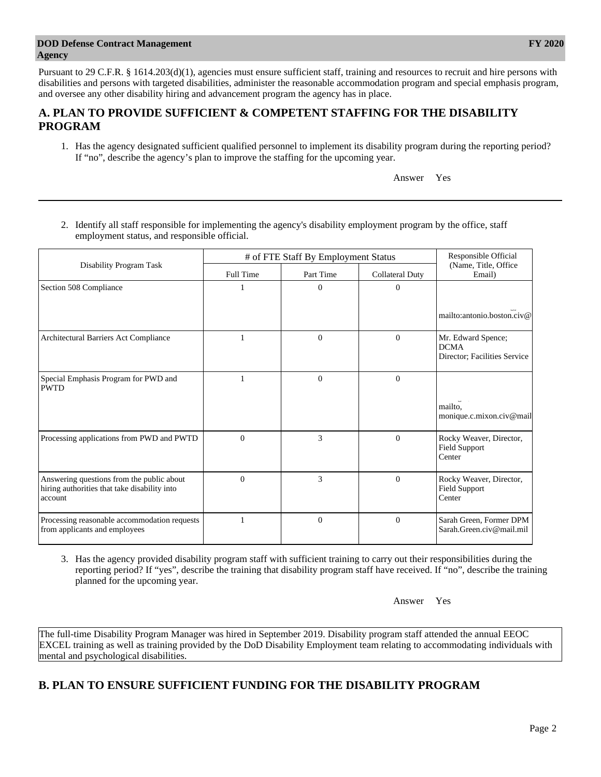Pursuant to 29 C.F.R. § 1614.203(d)(1), agencies must ensure sufficient staff, training and resources to recruit and hire persons with disabilities and persons with targeted disabilities, administer the reasonable accommodation program and special emphasis program, and oversee any other disability hiring and advancement program the agency has in place.

### **A. PLAN TO PROVIDE SUFFICIENT & COMPETENT STAFFING FOR THE DISABILITY PROGRAM**

1. Has the agency designated sufficient qualified personnel to implement its disability program during the reporting period? If "no", describe the agency's plan to improve the staffing for the upcoming year.

Answer Yes

2. Identify all staff responsible for implementing the agency's disability employment program by the office, staff employment status, and responsible official.

|                                                                                                      | # of FTE Staff By Employment Status | Responsible Official |                        |                                                                   |
|------------------------------------------------------------------------------------------------------|-------------------------------------|----------------------|------------------------|-------------------------------------------------------------------|
| Disability Program Task                                                                              | Full Time                           | Part Time            | <b>Collateral Duty</b> | (Name, Title, Office<br>Email)                                    |
| Section 508 Compliance                                                                               |                                     | $\theta$             | $\theta$               |                                                                   |
|                                                                                                      |                                     |                      |                        | mailto:antonio.boston.civ@                                        |
| Architectural Barriers Act Compliance                                                                | 1                                   | $\Omega$             | $\Omega$               | Mr. Edward Spence;<br><b>DCMA</b><br>Director; Facilities Service |
| Special Emphasis Program for PWD and<br><b>PWTD</b>                                                  |                                     | $\overline{0}$       | $\overline{0}$         |                                                                   |
|                                                                                                      |                                     |                      |                        | mailto.<br>monique.c.mixon.civ@mail                               |
| Processing applications from PWD and PWTD                                                            | $\Omega$                            | 3                    | $\mathbf{0}$           | Rocky Weaver, Director,<br><b>Field Support</b><br>Center         |
| Answering questions from the public about<br>hiring authorities that take disability into<br>account | $\Omega$                            | 3                    | $\Omega$               | Rocky Weaver, Director,<br><b>Field Support</b><br>Center         |
| Processing reasonable accommodation requests<br>from applicants and employees                        |                                     | $\mathbf{0}$         | $\mathbf{0}$           | Sarah Green, Former DPM<br>Sarah.Green.civ@mail.mil               |

3. Has the agency provided disability program staff with sufficient training to carry out their responsibilities during the reporting period? If "yes", describe the training that disability program staff have received. If "no", describe the training planned for the upcoming year.

Answer Yes

The full-time Disability Program Manager was hired in September 2019. Disability program staff attended the annual EEOC EXCEL training as well as training provided by the DoD Disability Employment team relating to accommodating individuals with mental and psychological disabilities.

### **B. PLAN TO ENSURE SUFFICIENT FUNDING FOR THE DISABILITY PROGRAM**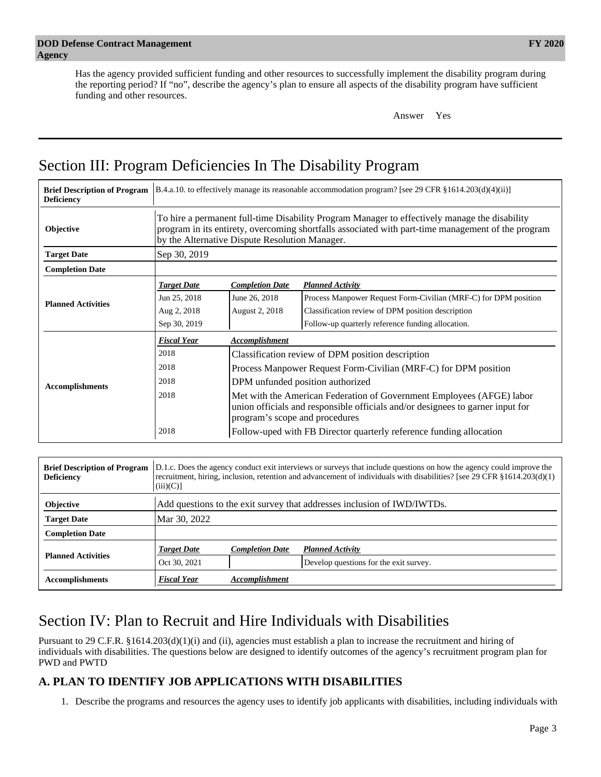Has the agency provided sufficient funding and other resources to successfully implement the disability program during the reporting period? If "no", describe the agency's plan to ensure all aspects of the disability program have sufficient funding and other resources.

Answer Yes

# Section III: Program Deficiencies In The Disability Program

| <b>Deficiency</b>         |                                                                                                                                                                                                                                                       |                                                                                | <b>Brief Description of Program</b> [B.4.a.10. to effectively manage its reasonable accommodation program? [see 29 CFR $\S1614.203(d)(4)(ii)$ ] |  |  |  |
|---------------------------|-------------------------------------------------------------------------------------------------------------------------------------------------------------------------------------------------------------------------------------------------------|--------------------------------------------------------------------------------|-------------------------------------------------------------------------------------------------------------------------------------------------|--|--|--|
| Objective                 | To hire a permanent full-time Disability Program Manager to effectively manage the disability<br>program in its entirety, overcoming shortfalls associated with part-time management of the program<br>by the Alternative Dispute Resolution Manager. |                                                                                |                                                                                                                                                 |  |  |  |
| <b>Target Date</b>        | Sep 30, 2019                                                                                                                                                                                                                                          |                                                                                |                                                                                                                                                 |  |  |  |
| <b>Completion Date</b>    |                                                                                                                                                                                                                                                       |                                                                                |                                                                                                                                                 |  |  |  |
|                           | <b>Target Date</b>                                                                                                                                                                                                                                    | <b>Completion Date</b>                                                         | <b>Planned Activity</b>                                                                                                                         |  |  |  |
| <b>Planned Activities</b> | Jun 25, 2018                                                                                                                                                                                                                                          | June 26, 2018                                                                  | Process Manpower Request Form-Civilian (MRF-C) for DPM position                                                                                 |  |  |  |
|                           | Aug 2, 2018                                                                                                                                                                                                                                           | August 2, 2018                                                                 | Classification review of DPM position description                                                                                               |  |  |  |
|                           | Sep 30, 2019                                                                                                                                                                                                                                          |                                                                                | Follow-up quarterly reference funding allocation.                                                                                               |  |  |  |
|                           | <b>Fiscal Year</b>                                                                                                                                                                                                                                    | Accomplishment                                                                 |                                                                                                                                                 |  |  |  |
|                           | 2018                                                                                                                                                                                                                                                  | Classification review of DPM position description                              |                                                                                                                                                 |  |  |  |
|                           | 2018                                                                                                                                                                                                                                                  | Process Manpower Request Form-Civilian (MRF-C) for DPM position                |                                                                                                                                                 |  |  |  |
| <b>Accomplishments</b>    | 2018                                                                                                                                                                                                                                                  | DPM unfunded position authorized                                               |                                                                                                                                                 |  |  |  |
|                           | 2018                                                                                                                                                                                                                                                  |                                                                                | Met with the American Federation of Government Employees (AFGE) labor                                                                           |  |  |  |
|                           |                                                                                                                                                                                                                                                       | union officials and responsible officials and/or designees to garner input for |                                                                                                                                                 |  |  |  |
|                           |                                                                                                                                                                                                                                                       | program's scope and procedures                                                 |                                                                                                                                                 |  |  |  |
|                           | 2018                                                                                                                                                                                                                                                  |                                                                                | Follow-uped with FB Director quarterly reference funding allocation                                                                             |  |  |  |

| <b>Brief Description of Program</b><br><b>Deficiency</b> | D.1.c. Does the agency conduct exit interviews or surveys that include questions on how the agency could improve the<br>recruitment, hiring, inclusion, retention and advancement of individuals with disabilities? [see 29 CFR §1614.203(d)(1)<br>$(iii)(C)$ ] |                                                                         |                                        |  |  |  |  |
|----------------------------------------------------------|-----------------------------------------------------------------------------------------------------------------------------------------------------------------------------------------------------------------------------------------------------------------|-------------------------------------------------------------------------|----------------------------------------|--|--|--|--|
| <b>Objective</b>                                         |                                                                                                                                                                                                                                                                 | Add questions to the exit survey that addresses inclusion of IWD/IWTDs. |                                        |  |  |  |  |
| <b>Target Date</b>                                       | Mar 30, 2022                                                                                                                                                                                                                                                    |                                                                         |                                        |  |  |  |  |
| <b>Completion Date</b>                                   |                                                                                                                                                                                                                                                                 |                                                                         |                                        |  |  |  |  |
|                                                          | <b>Target Date</b>                                                                                                                                                                                                                                              | <b>Completion Date</b>                                                  | <b>Planned Activity</b>                |  |  |  |  |
| <b>Planned Activities</b>                                | Oct 30, 2021                                                                                                                                                                                                                                                    |                                                                         | Develop questions for the exit survey. |  |  |  |  |
| <b>Accomplishments</b>                                   | <b>Fiscal Year</b>                                                                                                                                                                                                                                              | Accomplishment                                                          |                                        |  |  |  |  |

# Section IV: Plan to Recruit and Hire Individuals with Disabilities

Pursuant to 29 C.F.R. §1614.203(d)(1)(i) and (ii), agencies must establish a plan to increase the recruitment and hiring of individuals with disabilities. The questions below are designed to identify outcomes of the agency's recruitment program plan for PWD and PWTD

### **A. PLAN TO IDENTIFY JOB APPLICATIONS WITH DISABILITIES**

1. Describe the programs and resources the agency uses to identify job applicants with disabilities, including individuals with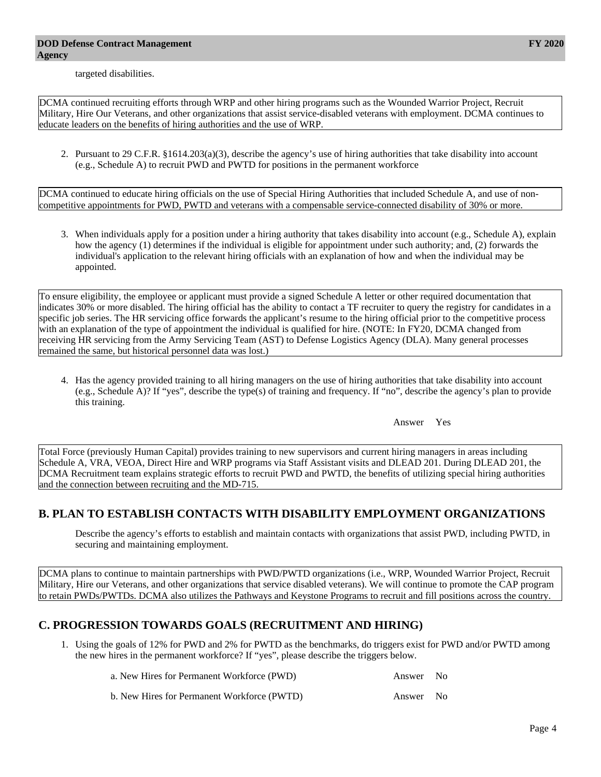targeted disabilities.

DCMA continued recruiting efforts through WRP and other hiring programs such as the Wounded Warrior Project, Recruit Military, Hire Our Veterans, and other organizations that assist service-disabled veterans with employment. DCMA continues to educate leaders on the benefits of hiring authorities and the use of WRP.

2. Pursuant to 29 C.F.R. §1614.203(a)(3), describe the agency's use of hiring authorities that take disability into account (e.g., Schedule A) to recruit PWD and PWTD for positions in the permanent workforce

DCMA continued to educate hiring officials on the use of Special Hiring Authorities that included Schedule A, and use of noncompetitive appointments for PWD, PWTD and veterans with a compensable service-connected disability of 30% or more.

3. When individuals apply for a position under a hiring authority that takes disability into account (e.g., Schedule A), explain how the agency (1) determines if the individual is eligible for appointment under such authority; and, (2) forwards the individual's application to the relevant hiring officials with an explanation of how and when the individual may be appointed.

To ensure eligibility, the employee or applicant must provide a signed Schedule A letter or other required documentation that indicates 30% or more disabled. The hiring official has the ability to contact a TF recruiter to query the registry for candidates in a specific job series. The HR servicing office forwards the applicant's resume to the hiring official prior to the competitive process with an explanation of the type of appointment the individual is qualified for hire. (NOTE: In FY20, DCMA changed from receiving HR servicing from the Army Servicing Team (AST) to Defense Logistics Agency (DLA). Many general processes remained the same, but historical personnel data was lost.)

4. Has the agency provided training to all hiring managers on the use of hiring authorities that take disability into account (e.g., Schedule A)? If "yes", describe the type(s) of training and frequency. If "no", describe the agency's plan to provide this training.

Answer Yes

Total Force (previously Human Capital) provides training to new supervisors and current hiring managers in areas including Schedule A, VRA, VEOA, Direct Hire and WRP programs via Staff Assistant visits and DLEAD 201. During DLEAD 201, the DCMA Recruitment team explains strategic efforts to recruit PWD and PWTD, the benefits of utilizing special hiring authorities and the connection between recruiting and the MD-715.

### **B. PLAN TO ESTABLISH CONTACTS WITH DISABILITY EMPLOYMENT ORGANIZATIONS**

Describe the agency's efforts to establish and maintain contacts with organizations that assist PWD, including PWTD, in securing and maintaining employment.

DCMA plans to continue to maintain partnerships with PWD/PWTD organizations (i.e., WRP, Wounded Warrior Project, Recruit Military, Hire our Veterans, and other organizations that service disabled veterans). We will continue to promote the CAP program to retain PWDs/PWTDs. DCMA also utilizes the Pathways and Keystone Programs to recruit and fill positions across the country.

### **C. PROGRESSION TOWARDS GOALS (RECRUITMENT AND HIRING)**

1. Using the goals of 12% for PWD and 2% for PWTD as the benchmarks, do triggers exist for PWD and/or PWTD among the new hires in the permanent workforce? If "yes", please describe the triggers below.

| a. New Hires for Permanent Workforce (PWD)  | Answer No |  |
|---------------------------------------------|-----------|--|
| b. New Hires for Permanent Workforce (PWTD) | Answer No |  |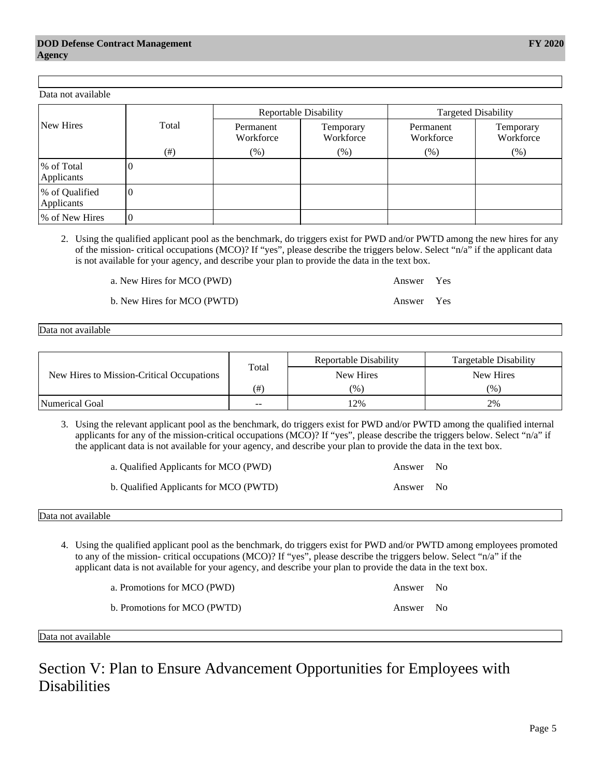Data not available

|                                           |       | Reportable Disability | Targetable Disability |
|-------------------------------------------|-------|-----------------------|-----------------------|
| New Hires to Mission-Critical Occupations | Total | New Hires             | New Hires             |
|                                           | $(\#$ | (96)                  | (96)                  |
| <b>Numerical Goal</b>                     | $ -$  | 2%                    | 2%                    |

3. Using the relevant applicant pool as the benchmark, do triggers exist for PWD and/or PWTD among the qualified internal applicants for any of the mission-critical occupations (MCO)? If "yes", please describe the triggers below. Select "n/a" if the applicant data is not available for your agency, and describe your plan to provide the data in the text box.

| a. Qualified Applicants for MCO (PWD)  | Answer No |  |
|----------------------------------------|-----------|--|
| b. Qualified Applicants for MCO (PWTD) | Answer No |  |

Data not available

- 4. Using the qualified applicant pool as the benchmark, do triggers exist for PWD and/or PWTD among employees promoted to any of the mission- critical occupations (MCO)? If "yes", please describe the triggers below. Select "n/a" if the applicant data is not available for your agency, and describe your plan to provide the data in the text box.
	- a. Promotions for MCO (PWD) Answer No
	- b. Promotions for MCO (PWTD) Answer No
- Data not available

Section V: Plan to Ensure Advancement Opportunities for Employees with **Disabilities** 

| Data not available           |          |                        |                        |                            |                        |  |  |
|------------------------------|----------|------------------------|------------------------|----------------------------|------------------------|--|--|
|                              |          |                        | Reportable Disability  | <b>Targeted Disability</b> |                        |  |  |
| New Hires                    | Total    | Permanent<br>Workforce | Temporary<br>Workforce | Permanent<br>Workforce     | Temporary<br>Workforce |  |  |
|                              | $(\#)$   | $(\%)$                 | $(\%)$                 | $(\%)$                     | (% )                   |  |  |
| % of Total<br>Applicants     |          |                        |                        |                            |                        |  |  |
| % of Qualified<br>Applicants | O        |                        |                        |                            |                        |  |  |
| % of New Hires               | $\theta$ |                        |                        |                            |                        |  |  |

2. Using the qualified applicant pool as the benchmark, do triggers exist for PWD and/or PWTD among the new hires for any of the mission- critical occupations (MCO)? If "yes", please describe the triggers below. Select "n/a" if the applicant data is not available for your agency, and describe your plan to provide the data in the text box.

a. New Hires for MCO (PWD) Answer Yes

b. New Hires for MCO (PWTD) Answer Yes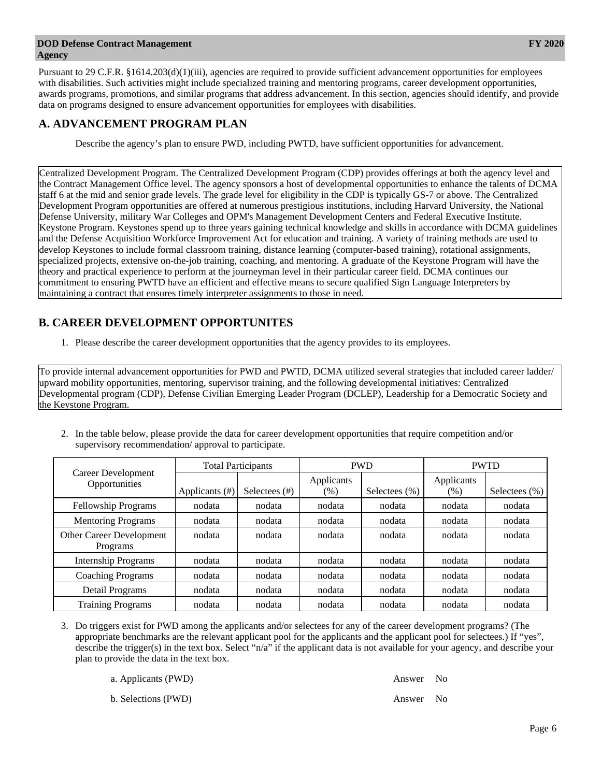#### **DOD Defense Contract Management Agency**

Pursuant to 29 C.F.R. §1614.203(d)(1)(iii), agencies are required to provide sufficient advancement opportunities for employees with disabilities. Such activities might include specialized training and mentoring programs, career development opportunities, awards programs, promotions, and similar programs that address advancement. In this section, agencies should identify, and provide data on programs designed to ensure advancement opportunities for employees with disabilities.

### **A. ADVANCEMENT PROGRAM PLAN**

Describe the agency's plan to ensure PWD, including PWTD, have sufficient opportunities for advancement.

Centralized Development Program. The Centralized Development Program (CDP) provides offerings at both the agency level and the Contract Management Office level. The agency sponsors a host of developmental opportunities to enhance the talents of DCMA staff 6 at the mid and senior grade levels. The grade level for eligibility in the CDP is typically GS-7 or above. The Centralized Development Program opportunities are offered at numerous prestigious institutions, including Harvard University, the National Defense University, military War Colleges and OPM's Management Development Centers and Federal Executive Institute. Keystone Program. Keystones spend up to three years gaining technical knowledge and skills in accordance with DCMA guidelines and the Defense Acquisition Workforce Improvement Act for education and training. A variety of training methods are used to develop Keystones to include formal classroom training, distance learning (computer-based training), rotational assignments, specialized projects, extensive on-the-job training, coaching, and mentoring. A graduate of the Keystone Program will have the theory and practical experience to perform at the journeyman level in their particular career field. DCMA continues our commitment to ensuring PWTD have an efficient and effective means to secure qualified Sign Language Interpreters by maintaining a contract that ensures timely interpreter assignments to those in need.

## **B. CAREER DEVELOPMENT OPPORTUNITES**

1. Please describe the career development opportunities that the agency provides to its employees.

To provide internal advancement opportunities for PWD and PWTD, DCMA utilized several strategies that included career ladder/ upward mobility opportunities, mentoring, supervisor training, and the following developmental initiatives: Centralized Developmental program (CDP), Defense Civilian Emerging Leader Program (DCLEP), Leadership for a Democratic Society and the Keystone Program.

- Career Development **Opportunities** Total Participants  $PWD$  PWD PWTD Applicants  $(\#)$  Selectees  $(\#)$  Applicants  $(\%)$  | Selectees  $(\%)$  Applicants  $(\%)$  Selectees  $(\%)$ Fellowship Programs | nodata | nodata | nodata | nodata | nodata | nodata Mentoring Programs | nodata | nodata | nodata | nodata | nodata | nodata Other Career Development Programs nodata nodata nodata nodata nodata nodata Internship Programs | nodata | nodata | nodata | nodata | nodata | nodata Coaching Programs | nodata | nodata | nodata | nodata | nodata | nodata | nodata Detail Programs | nodata | nodata | nodata | nodata | nodata | nodata | nodata Training Programs | nodata | nodata | nodata | nodata | nodata | nodata | nodata
- 2. In the table below, please provide the data for career development opportunities that require competition and/or supervisory recommendation/ approval to participate.

3. Do triggers exist for PWD among the applicants and/or selectees for any of the career development programs? (The appropriate benchmarks are the relevant applicant pool for the applicants and the applicant pool for selectees.) If "yes", describe the trigger(s) in the text box. Select "n/a" if the applicant data is not available for your agency, and describe your plan to provide the data in the text box.

a. Applicants (PWD) Answer No

b. Selections (PWD) and the selections of the selections of the selections of the selections of the selections of the selections of the selections of the selections of the selections of the selections of the selections of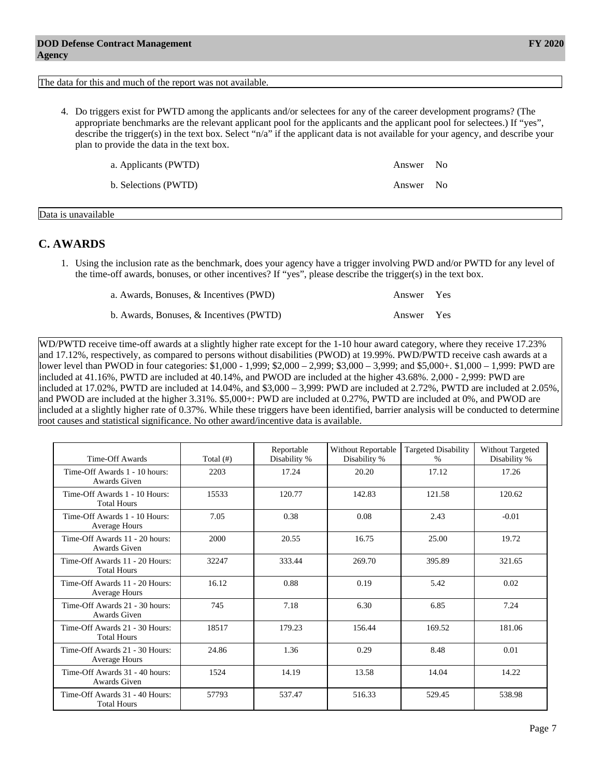#### The data for this and much of the report was not available.

4. Do triggers exist for PWTD among the applicants and/or selectees for any of the career development programs? (The appropriate benchmarks are the relevant applicant pool for the applicants and the applicant pool for selectees.) If "yes", describe the trigger(s) in the text box. Select "n/a" if the applicant data is not available for your agency, and describe your plan to provide the data in the text box.

a. Applicants (PWTD) Answer No

b. Selections (PWTD) Answer No

Data is unavailable

#### **C. AWARDS**

1. Using the inclusion rate as the benchmark, does your agency have a trigger involving PWD and/or PWTD for any level of the time-off awards, bonuses, or other incentives? If "yes", please describe the trigger(s) in the text box.

| a. Awards, Bonuses, & Incentives (PWD)  | Answer Yes |  |
|-----------------------------------------|------------|--|
| b. Awards, Bonuses, & Incentives (PWTD) | Answer Yes |  |

WD/PWTD receive time-off awards at a slightly higher rate except for the 1-10 hour award category, where they receive 17.23% and 17.12%, respectively, as compared to persons without disabilities (PWOD) at 19.99%. PWD/PWTD receive cash awards at a lower level than PWOD in four categories: \$1,000 - 1,999; \$2,000 – 2,999; \$3,000 – 3,999; and \$5,000+. \$1,000 – 1,999: PWD are included at 41.16%, PWTD are included at 40.14%, and PWOD are included at the higher 43.68%. 2,000 - 2,999: PWD are included at 17.02%, PWTD are included at 14.04%, and \$3,000 – 3,999: PWD are included at 2.72%, PWTD are included at 2.05%, and PWOD are included at the higher 3.31%. \$5,000+: PWD are included at 0.27%, PWTD are included at 0%, and PWOD are included at a slightly higher rate of 0.37%. While these triggers have been identified, barrier analysis will be conducted to determine root causes and statistical significance. No other award/incentive data is available.

| Time-Off Awards                                        | Total $(\#)$ | Reportable<br>Disability % | Without Reportable<br>Disability % | <b>Targeted Disability</b><br>% | Without Targeted<br>Disability % |
|--------------------------------------------------------|--------------|----------------------------|------------------------------------|---------------------------------|----------------------------------|
| Time-Off Awards 1 - 10 hours:<br>Awards Given          | 2203         | 17.24                      | 20.20                              | 17.12                           | 17.26                            |
| Time-Off Awards 1 - 10 Hours:<br><b>Total Hours</b>    | 15533        | 120.77                     | 142.83                             | 121.58                          | 120.62                           |
| Time-Off Awards 1 - 10 Hours:<br><b>Average Hours</b>  | 7.05         | 0.38                       | 0.08                               | 2.43                            | $-0.01$                          |
| Time-Off Awards 11 - 20 hours:<br>Awards Given         | 2000         | 20.55                      | 16.75                              | 25.00                           | 19.72                            |
| Time-Off Awards 11 - 20 Hours:<br><b>Total Hours</b>   | 32247        | 333.44                     | 269.70                             | 395.89                          | 321.65                           |
| Time-Off Awards 11 - 20 Hours:<br><b>Average Hours</b> | 16.12        | 0.88                       | 0.19                               | 5.42                            | 0.02                             |
| Time-Off Awards 21 - 30 hours:<br>Awards Given         | 745          | 7.18                       | 6.30                               | 6.85                            | 7.24                             |
| Time-Off Awards 21 - 30 Hours:<br><b>Total Hours</b>   | 18517        | 179.23                     | 156.44                             | 169.52                          | 181.06                           |
| Time-Off Awards 21 - 30 Hours:<br><b>Average Hours</b> | 24.86        | 1.36                       | 0.29                               | 8.48                            | 0.01                             |
| Time-Off Awards 31 - 40 hours:<br>Awards Given         | 1524         | 14.19                      | 13.58                              | 14.04                           | 14.22                            |
| Time-Off Awards 31 - 40 Hours:<br><b>Total Hours</b>   | 57793        | 537.47                     | 516.33                             | 529.45                          | 538.98                           |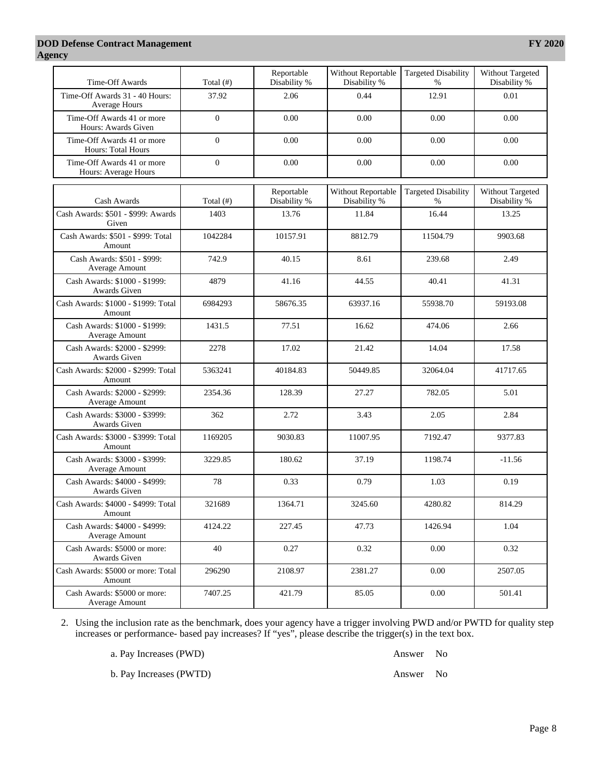#### **DOD Defense Contract Management Agency**

| Time-Off Awards                                         | Total $($ # <sup>2</sup> ) | Reportable<br>Disability % | Without Reportable<br>Disability % | <b>Targeted Disability</b><br>$\%$ | Without Targeted<br>Disability % |
|---------------------------------------------------------|----------------------------|----------------------------|------------------------------------|------------------------------------|----------------------------------|
| Time-Off Awards 31 - 40 Hours:<br>Average Hours         | 37.92                      | 2.06                       | 0.44                               | 12.91                              | 0.01                             |
| Time-Off Awards 41 or more<br>Hours: Awards Given       | $\boldsymbol{0}$           | 0.00                       | 0.00                               | 0.00                               | 0.00                             |
| Time-Off Awards 41 or more<br><b>Hours: Total Hours</b> | $\boldsymbol{0}$           | 0.00                       | 0.00                               | 0.00                               | 0.00                             |
| Time-Off Awards 41 or more<br>Hours: Average Hours      | $\boldsymbol{0}$           | 0.00                       | 0.00                               | 0.00                               | 0.00                             |
| Cash Awards                                             | Total (#)                  | Reportable<br>Disability % | Without Reportable<br>Disability % | <b>Targeted Disability</b><br>$\%$ | Without Targeted<br>Disability % |
| Cash Awards: \$501 - \$999: Awards<br>Given             | 1403                       | 13.76                      | 11.84                              | 16.44                              | 13.25                            |
| Cash Awards: \$501 - \$999: Total<br>Amount             | 1042284                    | 10157.91                   | 8812.79                            | 11504.79                           | 9903.68                          |
| Cash Awards: \$501 - \$999:<br>Average Amount           | 742.9                      | 40.15                      | 8.61                               | 239.68                             | 2.49                             |
| Cash Awards: \$1000 - \$1999:<br>Awards Given           | 4879                       | 41.16                      | 44.55                              | 40.41                              | 41.31                            |
| Cash Awards: \$1000 - \$1999: Total<br>Amount           | 6984293                    | 58676.35                   | 63937.16                           | 55938.70                           | 59193.08                         |
| Cash Awards: \$1000 - \$1999:<br>Average Amount         | 1431.5                     | 77.51                      | 16.62                              | 474.06                             | 2.66                             |
| Cash Awards: \$2000 - \$2999:<br>Awards Given           | 2278                       | 17.02                      | 21.42                              | 14.04                              | 17.58                            |
| Cash Awards: \$2000 - \$2999: Total<br>Amount           | 5363241                    | 40184.83                   | 50449.85                           | 32064.04                           | 41717.65                         |
| Cash Awards: \$2000 - \$2999:<br>Average Amount         | 2354.36                    | 128.39                     | 27.27                              | 782.05                             | 5.01                             |
| Cash Awards: \$3000 - \$3999:<br>Awards Given           | 362                        | 2.72                       | 3.43                               | 2.05                               | 2.84                             |
| Cash Awards: \$3000 - \$3999: Total<br>Amount           | 1169205                    | 9030.83                    | 11007.95                           | 7192.47                            | 9377.83                          |
| Cash Awards: \$3000 - \$3999:<br>Average Amount         | 3229.85                    | 180.62                     | 37.19                              | 1198.74                            | $-11.56$                         |
| Cash Awards: \$4000 - \$4999:<br>Awards Given           | 78                         | 0.33                       | 0.79                               | 1.03                               | 0.19                             |
| Cash Awards: \$4000 - \$4999: Total<br>Amount           | 321689                     | 1364.71                    | 3245.60                            | 4280.82                            | 814.29                           |
| Cash Awards: \$4000 - \$4999:<br>Average Amount         | 4124.22                    | 227.45                     | 47.73                              | 1426.94                            | 1.04                             |
| Cash Awards: \$5000 or more:<br>Awards Given            | 40                         | 0.27                       | 0.32                               | 0.00                               | 0.32                             |
| Cash Awards: \$5000 or more: Total<br>Amount            | 296290                     | 2108.97                    | 2381.27                            | 0.00                               | 2507.05                          |

2. Using the inclusion rate as the benchmark, does your agency have a trigger involving PWD and/or PWTD for quality step increases or performance- based pay increases? If "yes", please describe the trigger(s) in the text box.

7407.25 421.79 85.05 0.00 501.41

a. Pay Increases (PWD) Answer No

Cash Awards: \$5000 or more: Average Amount

b. Pay Increases (PWTD) Answer No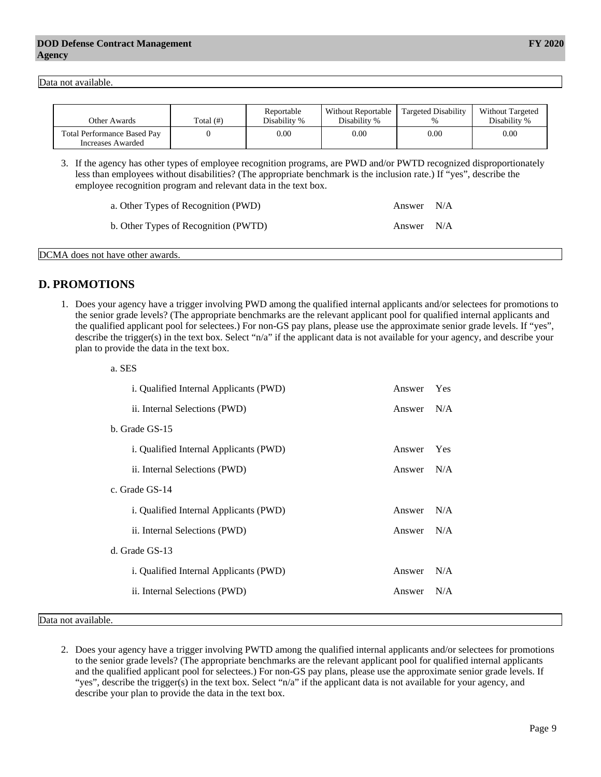Data not available.

| Other Awards                                            | Total $(f#)$ | Reportable<br>Disability % | Without Reportable<br>Disability % | Targeted Disability<br>$\%$ | <b>Without Targeted</b><br>Disability % |
|---------------------------------------------------------|--------------|----------------------------|------------------------------------|-----------------------------|-----------------------------------------|
| <b>Total Performance Based Pay</b><br>Increases Awarded |              | 0.00                       | 0.00                               | $0.00\,$                    | 0.00                                    |

3. If the agency has other types of employee recognition programs, are PWD and/or PWTD recognized disproportionately less than employees without disabilities? (The appropriate benchmark is the inclusion rate.) If "yes", describe the employee recognition program and relevant data in the text box.

| a. Other Types of Recognition (PWD)  | Answer N/A |  |
|--------------------------------------|------------|--|
| b. Other Types of Recognition (PWTD) | Answer N/A |  |

DCMA does not have other awards.

 $\alpha$ . CEC

### **D. PROMOTIONS**

1. Does your agency have a trigger involving PWD among the qualified internal applicants and/or selectees for promotions to the senior grade levels? (The appropriate benchmarks are the relevant applicant pool for qualified internal applicants and the qualified applicant pool for selectees.) For non-GS pay plans, please use the approximate senior grade levels. If "yes", describe the trigger(s) in the text box. Select "n/a" if the applicant data is not available for your agency, and describe your plan to provide the data in the text box.

| a. ded                                        |        |     |
|-----------------------------------------------|--------|-----|
| i. Qualified Internal Applicants (PWD)        | Answer | Yes |
| ii. Internal Selections (PWD)                 | Answer | N/A |
| b. Grade GS-15                                |        |     |
| <i>i.</i> Qualified Internal Applicants (PWD) | Answer | Yes |
| ii. Internal Selections (PWD)                 | Answer | N/A |
| c. Grade GS-14                                |        |     |
| <i>i.</i> Qualified Internal Applicants (PWD) | Answer | N/A |
| ii. Internal Selections (PWD)                 | Answer | N/A |
| d. Grade GS-13                                |        |     |
| <i>i.</i> Qualified Internal Applicants (PWD) | Answer | N/A |
| ii. Internal Selections (PWD)                 | Answer | N/A |
|                                               |        |     |

#### Data not available.

2. Does your agency have a trigger involving PWTD among the qualified internal applicants and/or selectees for promotions to the senior grade levels? (The appropriate benchmarks are the relevant applicant pool for qualified internal applicants and the qualified applicant pool for selectees.) For non-GS pay plans, please use the approximate senior grade levels. If "yes", describe the trigger(s) in the text box. Select "n/a" if the applicant data is not available for your agency, and describe your plan to provide the data in the text box.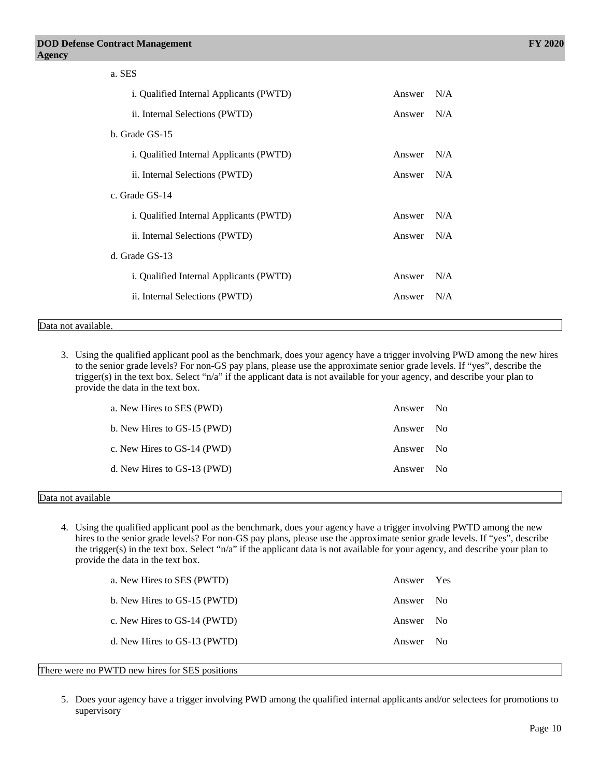| a. SES                                  |        |     |
|-----------------------------------------|--------|-----|
| i. Qualified Internal Applicants (PWTD) | Answer | N/A |
| ii. Internal Selections (PWTD)          | Answer | N/A |
| b. Grade GS-15                          |        |     |
| i. Qualified Internal Applicants (PWTD) | Answer | N/A |
| ii. Internal Selections (PWTD)          | Answer | N/A |
| c. Grade GS-14                          |        |     |
| i. Qualified Internal Applicants (PWTD) | Answer | N/A |
| ii. Internal Selections (PWTD)          | Answer | N/A |
| d. Grade GS-13                          |        |     |
| i. Qualified Internal Applicants (PWTD) | Answer | N/A |
| ii. Internal Selections (PWTD)          | Answer | N/A |
|                                         |        |     |
| Data not available.                     |        |     |

3. Using the qualified applicant pool as the benchmark, does your agency have a trigger involving PWD among the new hires to the senior grade levels? For non-GS pay plans, please use the approximate senior grade levels. If "yes", describe the trigger(s) in the text box. Select "n/a" if the applicant data is not available for your agency, and describe your plan to provide the data in the text box.

|   | a. New Hires to SES (PWD)   | Answer No |  |
|---|-----------------------------|-----------|--|
|   | b. New Hires to GS-15 (PWD) | Answer No |  |
|   | c. New Hires to GS-14 (PWD) | Answer No |  |
|   | d. New Hires to GS-13 (PWD) | Answer No |  |
| . |                             |           |  |

#### Data not available

4. Using the qualified applicant pool as the benchmark, does your agency have a trigger involving PWTD among the new hires to the senior grade levels? For non-GS pay plans, please use the approximate senior grade levels. If "yes", describe the trigger(s) in the text box. Select "n/a" if the applicant data is not available for your agency, and describe your plan to provide the data in the text box.

| a. New Hires to SES (PWTD)   | Answer Yes |      |
|------------------------------|------------|------|
| b. New Hires to GS-15 (PWTD) | Answer No  |      |
| c. New Hires to GS-14 (PWTD) | Answer No  |      |
| d. New Hires to GS-13 (PWTD) | Answer     | - No |

#### There were no PWTD new hires for SES positions

5. Does your agency have a trigger involving PWD among the qualified internal applicants and/or selectees for promotions to supervisory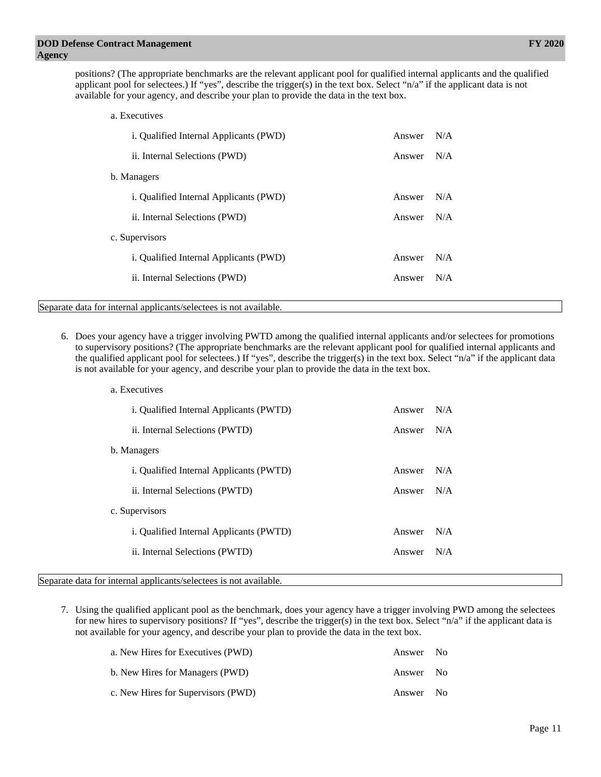positions? (The appropriate benchmarks are the relevant applicant pool for qualified internal applicants and the qualified applicant pool for selectees.) If "yes", describe the trigger(s) in the text box. Select "n/a" if the applicant data is not available for your agency, and describe your plan to provide the data in the text box.

| a. Executives                                                     |        |     |
|-------------------------------------------------------------------|--------|-----|
| i. Qualified Internal Applicants (PWD)                            | Answer | N/A |
| ii. Internal Selections (PWD)                                     | Answer | N/A |
| b. Managers                                                       |        |     |
| i. Qualified Internal Applicants (PWD)                            | Answer | N/A |
| ii. Internal Selections (PWD)                                     | Answer | N/A |
| c. Supervisors                                                    |        |     |
| i. Qualified Internal Applicants (PWD)                            | Answer | N/A |
| ii. Internal Selections (PWD)                                     | Answer | N/A |
| Separate data for internal applicants/selectees is not available. |        |     |
|                                                                   |        |     |

6. Does your agency have a trigger involving PWTD among the qualified internal applicants and/or selectees for promotions to supervisory positions? (The appropriate benchmarks are the relevant applicant pool for qualified internal applicants and the qualified applicant pool for selectees.) If "yes", describe the trigger(s) in the text box. Select "n/a" if the applicant data is not available for your agency, and describe your plan to provide the data in the text box.

| a. Executives                                  |        |     |
|------------------------------------------------|--------|-----|
| <i>i.</i> Qualified Internal Applicants (PWTD) | Answer | N/A |
| ii. Internal Selections (PWTD)                 | Answer | N/A |
| b. Managers                                    |        |     |
| i. Qualified Internal Applicants (PWTD)        | Answer | N/A |
| ii. Internal Selections (PWTD)                 | Answer | N/A |
| c. Supervisors                                 |        |     |
| <i>i.</i> Qualified Internal Applicants (PWTD) | Answer | N/A |
| ii. Internal Selections (PWTD)                 | Answer | N/A |
|                                                |        |     |

Separate data for internal applicants/selectees is not available.

7. Using the qualified applicant pool as the benchmark, does your agency have a trigger involving PWD among the selectees for new hires to supervisory positions? If "yes", describe the trigger(s) in the text box. Select "n/a" if the applicant data is not available for your agency, and describe your plan to provide the data in the text box.

| a. New Hires for Executives (PWD)  | Answer No |  |
|------------------------------------|-----------|--|
| b. New Hires for Managers (PWD)    | Answer No |  |
| c. New Hires for Supervisors (PWD) | Answer No |  |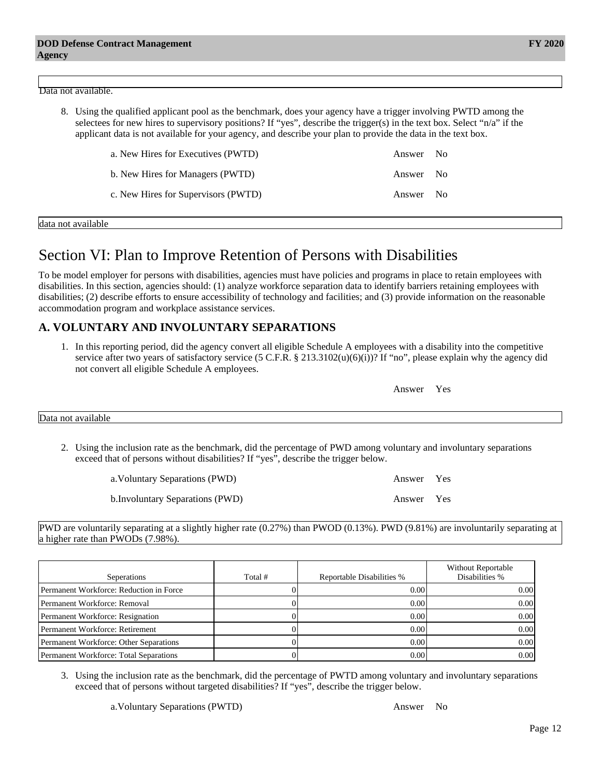#### Data not available.

8. Using the qualified applicant pool as the benchmark, does your agency have a trigger involving PWTD among the selectees for new hires to supervisory positions? If "yes", describe the trigger(s) in the text box. Select "n/a" if the applicant data is not available for your agency, and describe your plan to provide the data in the text box.

| a. New Hires for Executives (PWTD)  | Answer No |  |
|-------------------------------------|-----------|--|
| b. New Hires for Managers (PWTD)    | Answer No |  |
| c. New Hires for Supervisors (PWTD) | Answer No |  |

data not available

## Section VI: Plan to Improve Retention of Persons with Disabilities

To be model employer for persons with disabilities, agencies must have policies and programs in place to retain employees with disabilities. In this section, agencies should: (1) analyze workforce separation data to identify barriers retaining employees with disabilities; (2) describe efforts to ensure accessibility of technology and facilities; and (3) provide information on the reasonable accommodation program and workplace assistance services.

### **A. VOLUNTARY AND INVOLUNTARY SEPARATIONS**

1. In this reporting period, did the agency convert all eligible Schedule A employees with a disability into the competitive service after two years of satisfactory service  $(5 \text{ C.F.R. } § 213.3102(u)(6)(i))$ ? If "no", please explain why the agency did not convert all eligible Schedule A employees.

|                    | Answer Yes |  |
|--------------------|------------|--|
| Data not available |            |  |

2. Using the inclusion rate as the benchmark, did the percentage of PWD among voluntary and involuntary separations exceed that of persons without disabilities? If "yes", describe the trigger below.

| a. Voluntary Separations (PWD)   | Answer Yes |  |
|----------------------------------|------------|--|
| b. Involuntary Separations (PWD) | Answer Yes |  |

PWD are voluntarily separating at a slightly higher rate (0.27%) than PWOD (0.13%). PWD (9.81%) are involuntarily separating at a higher rate than PWODs (7.98%).

| Seperations                             | Total # | Reportable Disabilities % | <b>Without Reportable</b><br>Disabilities % |
|-----------------------------------------|---------|---------------------------|---------------------------------------------|
| Permanent Workforce: Reduction in Force |         | 0.00                      | 0.001                                       |
| Permanent Workforce: Removal            |         | 0.00                      | 0.00 <sub>l</sub>                           |
| Permanent Workforce: Resignation        |         | 0.00                      | 0.001                                       |
| Permanent Workforce: Retirement         |         | 0.00                      | 0.001                                       |
| Permanent Workforce: Other Separations  |         | 0.00                      | 0.00 <sub>l</sub>                           |
| Permanent Workforce: Total Separations  |         | 0.00                      | 0.00 <sub>l</sub>                           |

3. Using the inclusion rate as the benchmark, did the percentage of PWTD among voluntary and involuntary separations exceed that of persons without targeted disabilities? If "yes", describe the trigger below.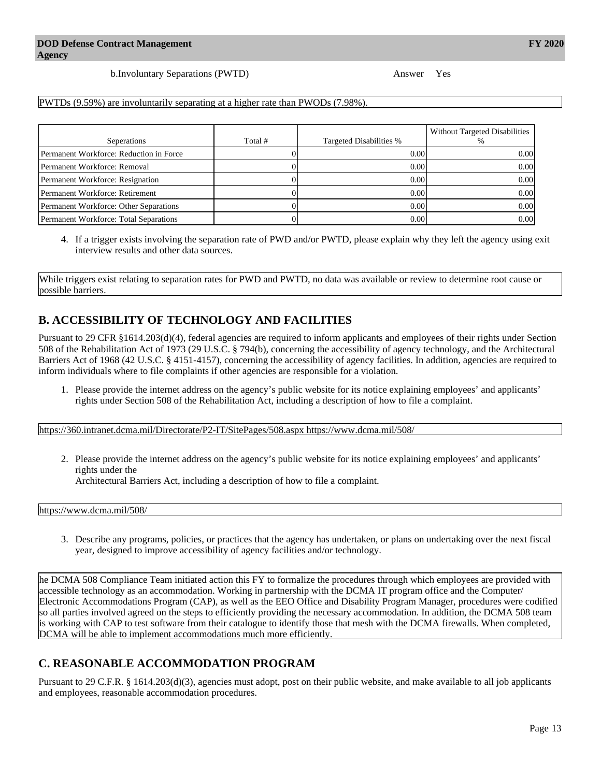b.Involuntary Separations (PWTD) Answer Yes

PWTDs (9.59%) are involuntarily separating at a higher rate than PWODs (7.98%).

| Seperations                             | Total # | Targeted Disabilities % | Without Targeted Disabilities |
|-----------------------------------------|---------|-------------------------|-------------------------------|
| Permanent Workforce: Reduction in Force |         | 0.00                    | 0.001                         |
| Permanent Workforce: Removal            |         | 0.00                    | 0.001                         |
| Permanent Workforce: Resignation        |         | 0.00                    | 0.001                         |
| Permanent Workforce: Retirement         |         | 0.00                    | 0.001                         |
| Permanent Workforce: Other Separations  |         | 0.00                    | 0.001                         |
| Permanent Workforce: Total Separations  |         | 0.00                    | 0.00 <sub>l</sub>             |

4. If a trigger exists involving the separation rate of PWD and/or PWTD, please explain why they left the agency using exit interview results and other data sources.

While triggers exist relating to separation rates for PWD and PWTD, no data was available or review to determine root cause or possible barriers.

## **B. ACCESSIBILITY OF TECHNOLOGY AND FACILITIES**

Pursuant to 29 CFR §1614.203(d)(4), federal agencies are required to inform applicants and employees of their rights under Section 508 of the Rehabilitation Act of 1973 (29 U.S.C. § 794(b), concerning the accessibility of agency technology, and the Architectural Barriers Act of 1968 (42 U.S.C. § 4151-4157), concerning the accessibility of agency facilities. In addition, agencies are required to inform individuals where to file complaints if other agencies are responsible for a violation.

1. Please provide the internet address on the agency's public website for its notice explaining employees' and applicants' rights under Section 508 of the Rehabilitation Act, including a description of how to file a complaint.

<https://360.intranet.dcma.mil/Directorate/P2-IT/SitePages/508.aspx https://www.dcma.mil/508/>

2. Please provide the internet address on the agency's public website for its notice explaining employees' and applicants' rights under the

Architectural Barriers Act, including a description of how to file a complaint.

<https://www.dcma.mil/508/>

3. Describe any programs, policies, or practices that the agency has undertaken, or plans on undertaking over the next fiscal year, designed to improve accessibility of agency facilities and/or technology.

he DCMA 508 Compliance Team initiated action this FY to formalize the procedures through which employees are provided with accessible technology as an accommodation. Working in partnership with the DCMA IT program office and the Computer/ Electronic Accommodations Program (CAP), as well as the EEO Office and Disability Program Manager, procedures were codified so all parties involved agreed on the steps to efficiently providing the necessary accommodation. In addition, the DCMA 508 team is working with CAP to test software from their catalogue to identify those that mesh with the DCMA firewalls. When completed, DCMA will be able to implement accommodations much more efficiently.

## **C. REASONABLE ACCOMMODATION PROGRAM**

Pursuant to 29 C.F.R. § 1614.203(d)(3), agencies must adopt, post on their public website, and make available to all job applicants and employees, reasonable accommodation procedures.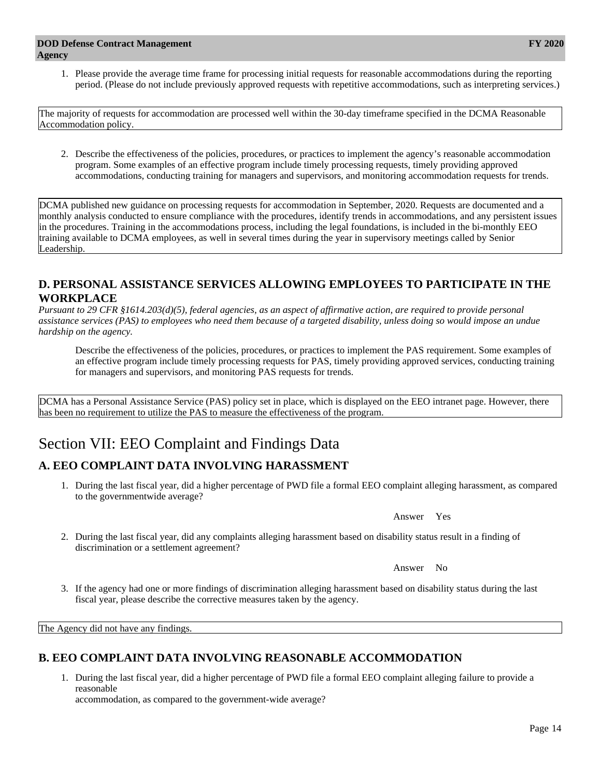1. Please provide the average time frame for processing initial requests for reasonable accommodations during the reporting period. (Please do not include previously approved requests with repetitive accommodations, such as interpreting services.)

The majority of requests for accommodation are processed well within the 30-day timeframe specified in the DCMA Reasonable Accommodation policy.

2. Describe the effectiveness of the policies, procedures, or practices to implement the agency's reasonable accommodation program. Some examples of an effective program include timely processing requests, timely providing approved accommodations, conducting training for managers and supervisors, and monitoring accommodation requests for trends.

DCMA published new guidance on processing requests for accommodation in September, 2020. Requests are documented and a monthly analysis conducted to ensure compliance with the procedures, identify trends in accommodations, and any persistent issues in the procedures. Training in the accommodations process, including the legal foundations, is included in the bi-monthly EEO training available to DCMA employees, as well in several times during the year in supervisory meetings called by Senior Leadership.

### **D. PERSONAL ASSISTANCE SERVICES ALLOWING EMPLOYEES TO PARTICIPATE IN THE WORKPLACE**

*Pursuant to 29 CFR §1614.203(d)(5), federal agencies, as an aspect of affirmative action, are required to provide personal assistance services (PAS) to employees who need them because of a targeted disability, unless doing so would impose an undue hardship on the agency.*

Describe the effectiveness of the policies, procedures, or practices to implement the PAS requirement. Some examples of an effective program include timely processing requests for PAS, timely providing approved services, conducting training for managers and supervisors, and monitoring PAS requests for trends.

DCMA has a Personal Assistance Service (PAS) policy set in place, which is displayed on the EEO intranet page. However, there has been no requirement to utilize the PAS to measure the effectiveness of the program.

# Section VII: EEO Complaint and Findings Data

### **A. EEO COMPLAINT DATA INVOLVING HARASSMENT**

1. During the last fiscal year, did a higher percentage of PWD file a formal EEO complaint alleging harassment, as compared to the governmentwide average?

Answer Yes

2. During the last fiscal year, did any complaints alleging harassment based on disability status result in a finding of discrimination or a settlement agreement?

Answer No

3. If the agency had one or more findings of discrimination alleging harassment based on disability status during the last fiscal year, please describe the corrective measures taken by the agency.

The Agency did not have any findings.

### **B. EEO COMPLAINT DATA INVOLVING REASONABLE ACCOMMODATION**

1. During the last fiscal year, did a higher percentage of PWD file a formal EEO complaint alleging failure to provide a reasonable

accommodation, as compared to the government-wide average?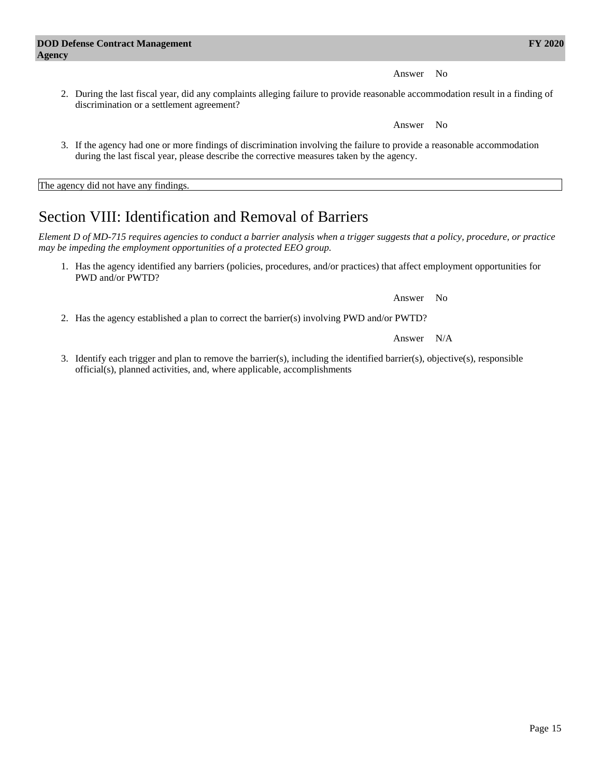Answer No

2. During the last fiscal year, did any complaints alleging failure to provide reasonable accommodation result in a finding of discrimination or a settlement agreement?

Answer No

3. If the agency had one or more findings of discrimination involving the failure to provide a reasonable accommodation during the last fiscal year, please describe the corrective measures taken by the agency.

The agency did not have any findings.

# Section VIII: Identification and Removal of Barriers

*Element D of MD-715 requires agencies to conduct a barrier analysis when a trigger suggests that a policy, procedure, or practice may be impeding the employment opportunities of a protected EEO group.*

1. Has the agency identified any barriers (policies, procedures, and/or practices) that affect employment opportunities for PWD and/or PWTD?

Answer No

2. Has the agency established a plan to correct the barrier(s) involving PWD and/or PWTD?

Answer N/A

3. Identify each trigger and plan to remove the barrier(s), including the identified barrier(s), objective(s), responsible official(s), planned activities, and, where applicable, accomplishments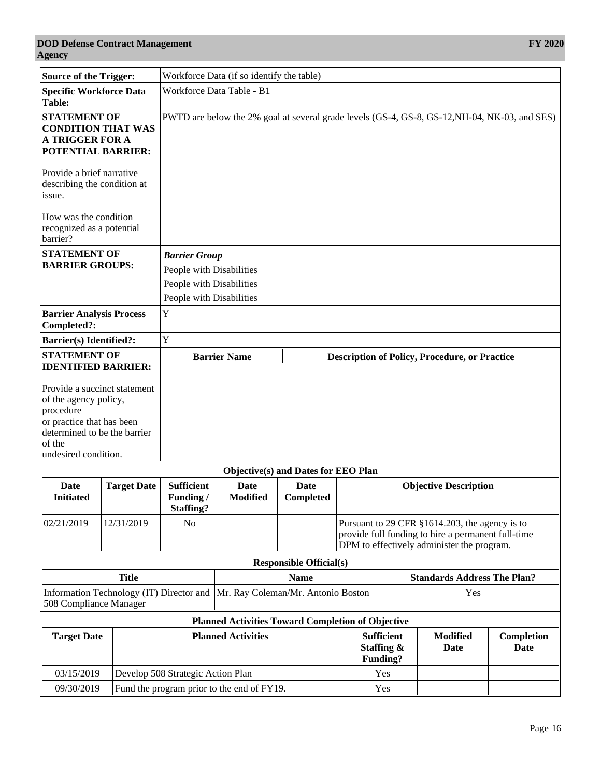| <b>Source of the Trigger:</b>                                                                                                                                     |                                                          | Workforce Data (if so identify the table)                                                     |                                                                             |                                     |                                             |                                                                                                                                                    |                         |                    |
|-------------------------------------------------------------------------------------------------------------------------------------------------------------------|----------------------------------------------------------|-----------------------------------------------------------------------------------------------|-----------------------------------------------------------------------------|-------------------------------------|---------------------------------------------|----------------------------------------------------------------------------------------------------------------------------------------------------|-------------------------|--------------------|
| <b>Specific Workforce Data</b><br>Table:                                                                                                                          |                                                          | Workforce Data Table - B1                                                                     |                                                                             |                                     |                                             |                                                                                                                                                    |                         |                    |
| <b>STATEMENT OF</b><br><b>CONDITION THAT WAS</b><br><b>A TRIGGER FOR A</b><br><b>POTENTIAL BARRIER:</b>                                                           |                                                          | PWTD are below the 2% goal at several grade levels (GS-4, GS-8, GS-12, NH-04, NK-03, and SES) |                                                                             |                                     |                                             |                                                                                                                                                    |                         |                    |
| Provide a brief narrative<br>describing the condition at<br>issue.                                                                                                |                                                          |                                                                                               |                                                                             |                                     |                                             |                                                                                                                                                    |                         |                    |
| How was the condition<br>recognized as a potential<br>barrier?                                                                                                    |                                                          |                                                                                               |                                                                             |                                     |                                             |                                                                                                                                                    |                         |                    |
| <b>STATEMENT OF</b>                                                                                                                                               |                                                          | <b>Barrier Group</b>                                                                          |                                                                             |                                     |                                             |                                                                                                                                                    |                         |                    |
| <b>BARRIER GROUPS:</b>                                                                                                                                            |                                                          | People with Disabilities<br>People with Disabilities                                          |                                                                             |                                     |                                             |                                                                                                                                                    |                         |                    |
|                                                                                                                                                                   |                                                          | People with Disabilities                                                                      |                                                                             |                                     |                                             |                                                                                                                                                    |                         |                    |
| <b>Barrier Analysis Process</b><br>Completed?:                                                                                                                    |                                                          | $\mathbf Y$                                                                                   |                                                                             |                                     |                                             |                                                                                                                                                    |                         |                    |
| <b>Barrier(s)</b> Identified?:                                                                                                                                    |                                                          | Y                                                                                             |                                                                             |                                     |                                             |                                                                                                                                                    |                         |                    |
| <b>STATEMENT OF</b><br><b>IDENTIFIED BARRIER:</b>                                                                                                                 |                                                          |                                                                                               | <b>Barrier Name</b><br><b>Description of Policy, Procedure, or Practice</b> |                                     |                                             |                                                                                                                                                    |                         |                    |
| Provide a succinct statement<br>of the agency policy,<br>procedure<br>or practice that has been<br>determined to be the barrier<br>of the<br>undesired condition. |                                                          |                                                                                               |                                                                             |                                     |                                             |                                                                                                                                                    |                         |                    |
|                                                                                                                                                                   |                                                          |                                                                                               |                                                                             | Objective(s) and Dates for EEO Plan |                                             |                                                                                                                                                    |                         |                    |
| Date<br><b>Initiated</b>                                                                                                                                          | <b>Target Date</b>                                       | <b>Sufficient</b><br>Funding/<br><b>Staffing?</b>                                             | <b>Date</b><br><b>Modified</b>                                              | Date<br>Completed                   |                                             | <b>Objective Description</b>                                                                                                                       |                         |                    |
| 02/21/2019                                                                                                                                                        | 12/31/2019                                               | N <sub>0</sub>                                                                                |                                                                             |                                     |                                             | Pursuant to 29 CFR §1614.203, the agency is to<br>provide full funding to hire a permanent full-time<br>DPM to effectively administer the program. |                         |                    |
|                                                                                                                                                                   |                                                          |                                                                                               |                                                                             | <b>Responsible Official(s)</b>      |                                             |                                                                                                                                                    |                         |                    |
| <b>Title</b>                                                                                                                                                      |                                                          | <b>Name</b>                                                                                   |                                                                             | <b>Standards Address The Plan?</b>  |                                             |                                                                                                                                                    |                         |                    |
| Information Technology (IT) Director and<br>508 Compliance Manager                                                                                                |                                                          | Mr. Ray Coleman/Mr. Antonio Boston                                                            |                                                                             | Yes                                 |                                             |                                                                                                                                                    |                         |                    |
|                                                                                                                                                                   |                                                          |                                                                                               | <b>Planned Activities Toward Completion of Objective</b>                    |                                     |                                             |                                                                                                                                                    |                         |                    |
| <b>Target Date</b>                                                                                                                                                |                                                          |                                                                                               | <b>Planned Activities</b>                                                   |                                     | <b>Sufficient</b><br>Staffing &<br>Funding? |                                                                                                                                                    | <b>Modified</b><br>Date | Completion<br>Date |
| 03/15/2019                                                                                                                                                        |                                                          | Develop 508 Strategic Action Plan                                                             |                                                                             |                                     | Yes                                         |                                                                                                                                                    |                         |                    |
|                                                                                                                                                                   | 09/30/2019<br>Fund the program prior to the end of FY19. |                                                                                               |                                                                             | Yes                                 |                                             |                                                                                                                                                    |                         |                    |